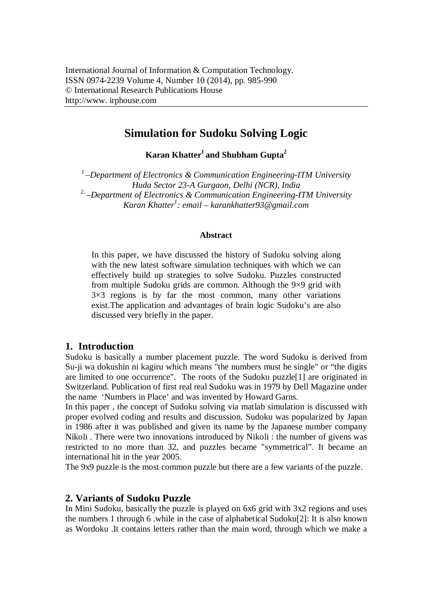# **Simulation for Sudoku Solving Logic**

**Karan Khatter<sup>1</sup>and Shubham Gupta<sup>2</sup>**

*1 –Department of Electronics & Communication Engineering-ITM University Huda Sector 23-A Gurgaon, Delhi (NCR), India 2, –Department of Electronics & Communication Engineering-ITM University Karan Khatter<sup>1</sup> : email – karankhatter93@gmail.com*

#### **Abstract**

In this paper, we have discussed the history of Sudoku solving along with the new latest software simulation techniques with which we can effectively build up strategies to solve Sudoku. Puzzles constructed from multiple Sudoku grids are common. Although the 9×9 grid with  $3\times3$  regions is by far the most common, many other variations exist.The application and advantages of brain logic Sudoku's are also discussed very briefly in the paper.

#### **1. Introduction**

Sudoku is basically a number placement puzzle. The word Sudoku is derived from Su-ji wa dokushin ni kagiru which means "the numbers must be single" or "the digits are limited to one occurrence". The roots of the Sudoku puzzle[1] are originated in Switzerland. Publication of first real real Sudoku was in 1979 by Dell Magazine under the name 'Numbers in Place' and was invented by Howard Garns.

In this paper , the concept of Sudoku solving via matlab simulation is discussed with proper evolved coding and results and discussion. Sudoku was popularized by Japan in 1986 after it was published and given its name by the Japanese number company Nikoli . There were two innovations introduced by Nikoli : the number of givens was restricted to no more than 32, and puzzles became "symmetrical". It became an international hit in the year 2005.

The 9x9 puzzle is the most common puzzle but there are a few variants of the puzzle.

#### **2. Variants of Sudoku Puzzle**

In Mini Sudoku, basically the puzzle is played on 6x6 grid with 3x2 regions and uses the numbers 1 through 6 .while in the case of alphabetical Sudoku[2]: It is also known as Wordoku .It contains letters rather than the main word, through which we make a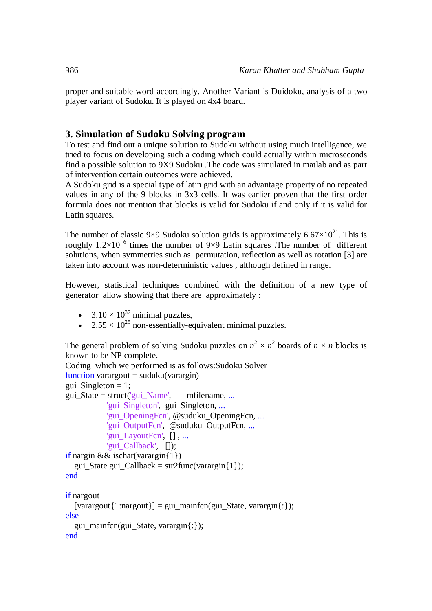proper and suitable word accordingly. Another Variant is Duidoku, analysis of a two player variant of Sudoku. It is played on 4x4 board.

# **3. Simulation of Sudoku Solving program**

To test and find out a unique solution to Sudoku without using much intelligence, we tried to focus on developing such a coding which could actually within microseconds find a possible solution to 9X9 Sudoku .The code was simulated in matlab and as part of intervention certain outcomes were achieved.

A Sudoku grid is a special type of latin grid with an advantage property of no repeated values in any of the 9 blocks in 3x3 cells. It was earlier proven that the first order formula does not mention that blocks is valid for Sudoku if and only if it is valid for Latin squares.

The number of classic 9×9 Sudoku solution grids is approximately  $6.67 \times 10^{21}$ . This is roughly  $1.2\times10^{-6}$  times the number of 9×9 Latin squares . The number of different solutions, when symmetries such as permutation, reflection as well as rotation [3] are taken into account was non-deterministic values , although defined in range.

However, statistical techniques combined with the definition of a new type of generator allow showing that there are approximately :

- $3.10 \times 10^{37}$  minimal puzzles,
- $2.55 \times 10^{25}$  non-essentially-equivalent minimal puzzles.

The general problem of solving Sudoku puzzles on  $n^2 \times n^2$  boards of  $n \times n$  blocks is known to be NP complete.

```
Coding which we performed is as follows:Sudoku Solver 
function varargout = suduku(varargin)
gui Singleton = 1;
gui_State = struct('gui_Name', mfilename, ...
            'gui_Singleton', gui_Singleton, ...
            'gui_OpeningFcn', @suduku_OpeningFcn, ...
           'gui OutputFcn', @suduku OutputFcn, ...
           'gui_LayoutFcn', [], ...
            'gui_Callback', []);
if nargin && ischar(varargin{1})
  gui State.gui Callback = str2func(varargin{1});
end
if nargout
  \{varagcup\{1:nargout\}\} = gui\_mainfon(gui\_State, varargin\};
else
   gui_mainfcn(gui_State, varargin{:});
end
```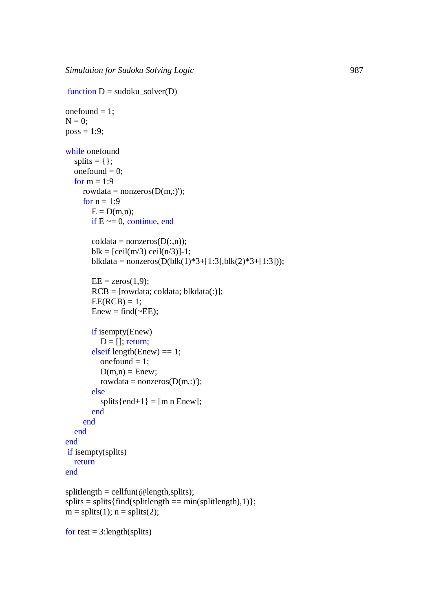```
function D = sudoku_solver(D)
onefound = 1;
N = 0;
poss = 1:9;while onefound
  splits = \{ \};
  onefound = 0;
  for m = 1:9rowdata = nonzeros(D(m,:));
     for n = 1:9E = D(m,n);
       if E \sim = 0, continue, end
       coldata = nonzeros(D(:,n));blk = [ceil(m/3) ceil(n/3)]-1;
       blkdata = nonzeros(D(blk(1)*3+[1:3], blk(2)*3+[1:3]));
       EE = zeros(1, 9);RCB = [rowdata; coldata; blkdata(:)];EE(RCB) = 1;Enew = find(\sim EE); if isempty(Enew)
          D = []; return;
       elseif length(Enew) == 1;onefound = 1;
          D(m,n) = Enew:
          rowdata = nonzeros(D(m,:));
        else
          splits\{end+1} = [m n Enew];
        end
      end
   end
end
if isempty(splits)
   return
end
splitlength = cellfun(<math>\omega</math> length, splits);splits = splits{find(splitude)} = min(splitude),1)};
m =splits(1); n =splits(2);
```

```
for test = 3: length(splits)
```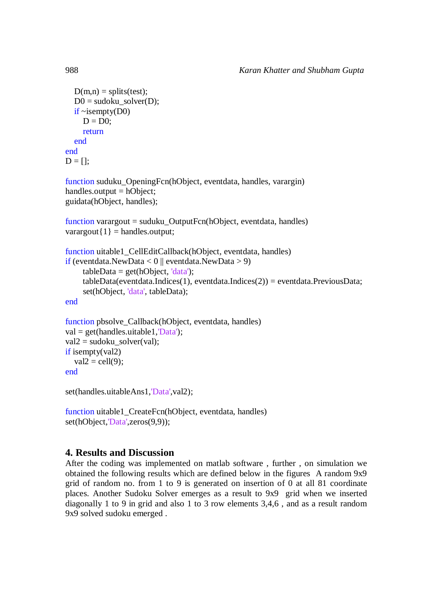```
D(m,n) =splits(test);
  D0 = sudoku solver(D);
  if \simisempty(D0)
     D = D0;
      return
   end
end
D = [];
```

```
function suduku_OpeningFcn(hObject, eventdata, handles, varargin)
handles.output = hObject;
guidata(hObject, handles);
```

```
function varargout = suduku_OutputFcn(hObject, eventdata, handles) 
varargout\{1\} = handles.output;
```

```
function uitable1 CellEditCallback(hObject, eventdata, handles)
if (eventdata.NewData < 0 || eventdata.NewData > 9)
     tableData = get(hObject, 'data');tableData(event data. Indices(1), event data. Indices(2)) = event data. Previous Data; set(hObject, 'data', tableData); 
end
```

```
function pbsolve Callback(hObject, eventdata, handles)
val = get(handles.uitable1. \nData');
val2 = sudoku solver(val);
if isempty(val2)
  val2 = cell(9);end
```
set(handles.uitableAns1,'Data',val2);

```
function uitable1 CreateFcn(hObject, eventdata, handles)
set(hObject,'Data',zeros(9,9));
```
# **4. Results and Discussion**

After the coding was implemented on matlab software , further , on simulation we obtained the following results which are defined below in the figures A random 9x9 grid of random no. from 1 to 9 is generated on insertion of 0 at all 81 coordinate places. Another Sudoku Solver emerges as a result to 9x9 grid when we inserted diagonally 1 to 9 in grid and also 1 to 3 row elements 3,4,6 , and as a result random 9x9 solved sudoku emerged .